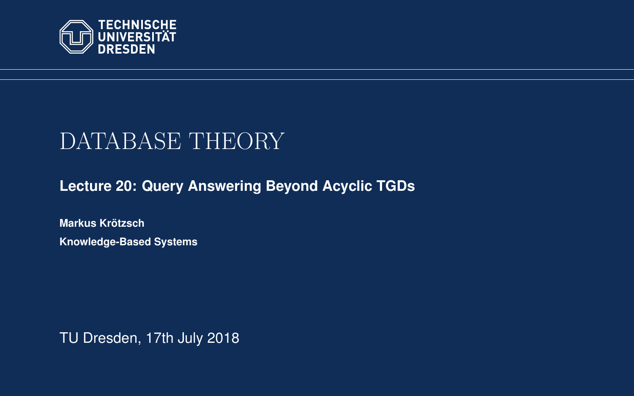<span id="page-0-0"></span>

# DATABASE THEORY

**[Lecture 20: Query Answering Beyond Acyclic TGDs](https://iccl.inf.tu-dresden.de/web/Database_Theory_(SS2018))**

**[Markus Krotzsch](https://iccl.inf.tu-dresden.de/web/Markus_Kr%C3%B6tzsch/en) ¨ Knowledge-Based Systems**

TU Dresden, 17th July 2018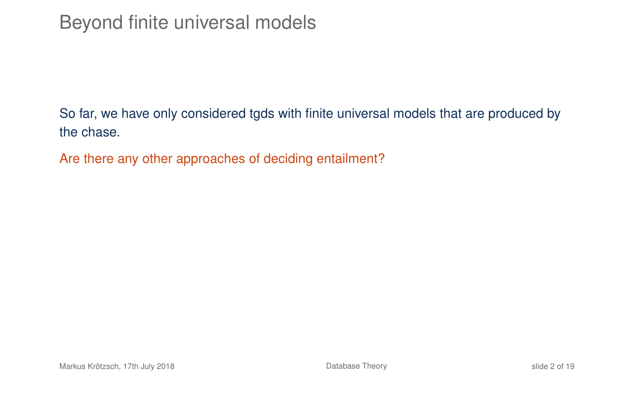So far, we have only considered tgds with finite universal models that are produced by the chase.

Are there any other approaches of deciding entailment?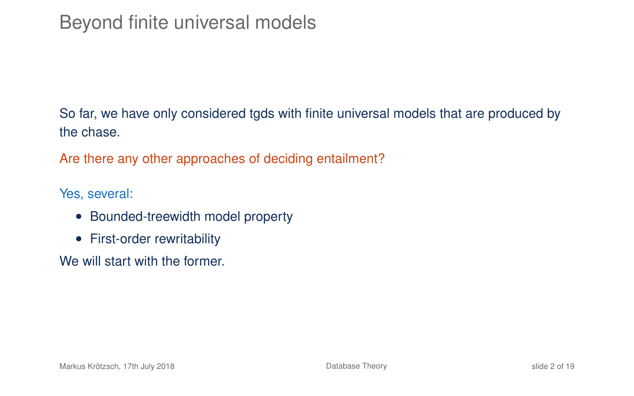# Beyond finite universal models

So far, we have only considered tgds with finite universal models that are produced by the chase.

Are there any other approaches of deciding entailment?

Yes, several:

- Bounded-treewidth model property
- First-order rewritability

We will start with the former.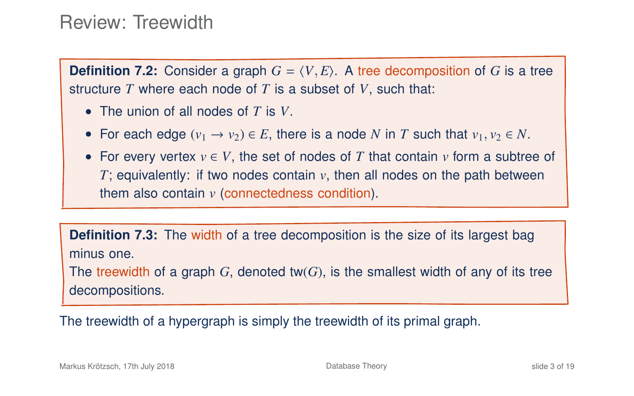### Review: Treewidth

**Definition 7.2:** Consider a graph  $G = \langle V, E \rangle$ . A tree decomposition of *G* is a tree structure *T* where each node of *T* is a subset of *V*, such that:

- The union of all nodes of *T* is *V*.
- For each edge  $(v_1 \rightarrow v_2) \in E$ , there is a node N in T such that  $v_1, v_2 \in N$ .
- For every vertex  $v \in V$ , the set of nodes of T that contain  $v$  form a subtree of *T*: equivalently: if two nodes contain *v*, then all nodes on the path between them also contain *v* (connectedness condition).

**Definition 7.3:** The width of a tree decomposition is the size of its largest bag minus one. The treewidth of a graph  $G$ , denoted tw $(G)$ , is the smallest width of any of its tree

decompositions.

The treewidth of a hypergraph is simply the treewidth of its primal graph.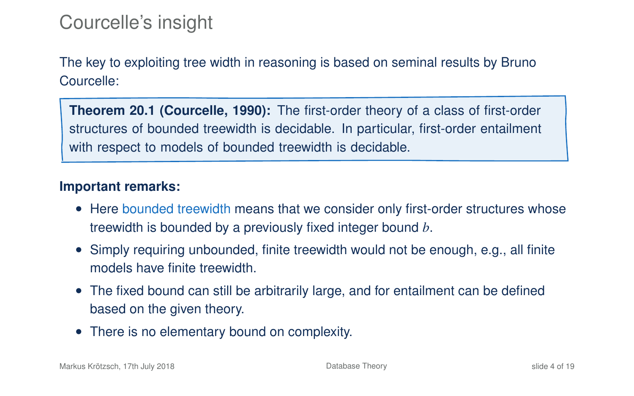# Courcelle's insight

The key to exploiting tree width in reasoning is based on seminal results by Bruno Courcelle:

**Theorem 20.1 (Courcelle, 1990):** The first-order theory of a class of first-order structures of bounded treewidth is decidable. In particular, first-order entailment with respect to models of bounded treewidth is decidable.

#### **Important remarks:**

- Here bounded treewidth means that we consider only first-order structures whose treewidth is bounded by a previously fixed integer bound *b*.
- Simply requiring unbounded, finite treewidth would not be enough, e.g., all finite models have finite treewidth.
- The fixed bound can still be arbitrarily large, and for entailment can be defined based on the given theory.
- There is no elementary bound on complexity.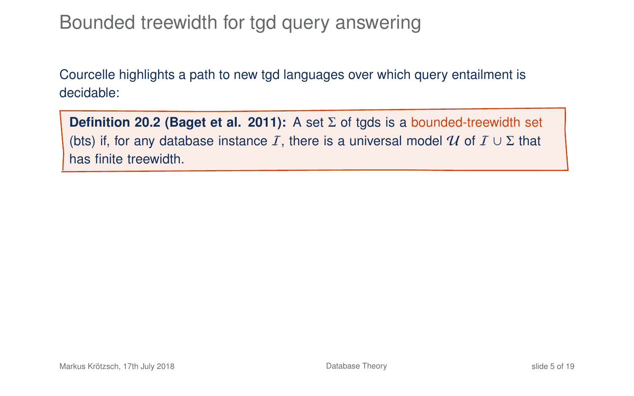# Bounded treewidth for tgd query answering

Courcelle highlights a path to new tgd languages over which query entailment is decidable:

**Definition 20.2 (Baget et al. 2011):** A set Σ of tgds is a bounded-treewidth set (bts) if, for any database instance I, there is a universal model U of  $I \cup \Sigma$  that has finite treewidth.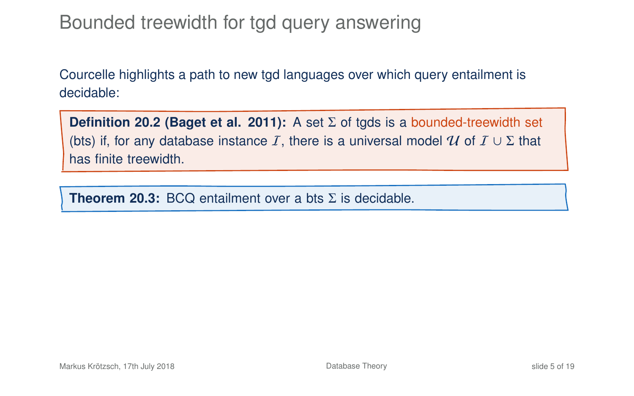# Bounded treewidth for tgd query answering

Courcelle highlights a path to new tgd languages over which query entailment is decidable:

**Definition 20.2 (Baget et al. 2011):** A set Σ of tgds is a bounded-treewidth set (bts) if, for any database instance I, there is a universal model U of  $I \cup \Sigma$  that has finite treewidth.

**Theorem 20.3:** BCQ entailment over a bts  $\Sigma$  is decidable.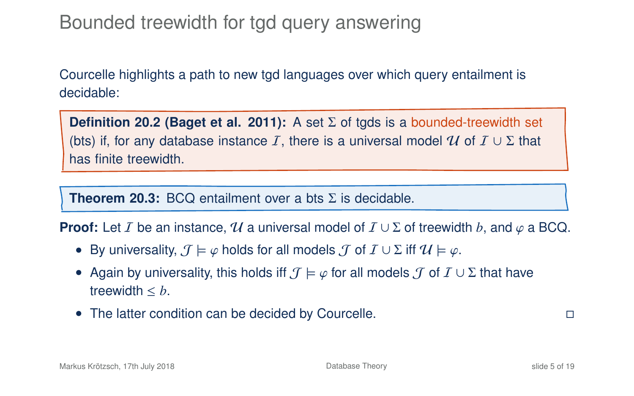# Bounded treewidth for tgd query answering

Courcelle highlights a path to new tgd languages over which query entailment is decidable:

**Definition 20.2 (Baget et al. 2011):** A set Σ of tgds is a bounded-treewidth set (bts) if, for any database instance I, there is a universal model U of  $I \cup \Sigma$  that has finite treewidth.

**Theorem 20.3:** BCQ entailment over a bts  $\Sigma$  is decidable.

**Proof:** Let I be an instance, U a universal model of  $I \cup \Sigma$  of treewidth b, and  $\varphi$  a BCQ.

- By universality,  $\mathcal{J} \models \varphi$  holds for all models  $\mathcal{J}$  of  $\mathcal{I} \cup \Sigma$  iff  $\mathcal{U} \models \varphi$ .
- Again by universality, this holds iff  $\mathcal{J} \models \varphi$  for all models  $\mathcal{J}$  of  $\mathcal{I} \cup \Sigma$  that have treewidth ≤ *b*.
- The latter condition can be decided by Courcelle.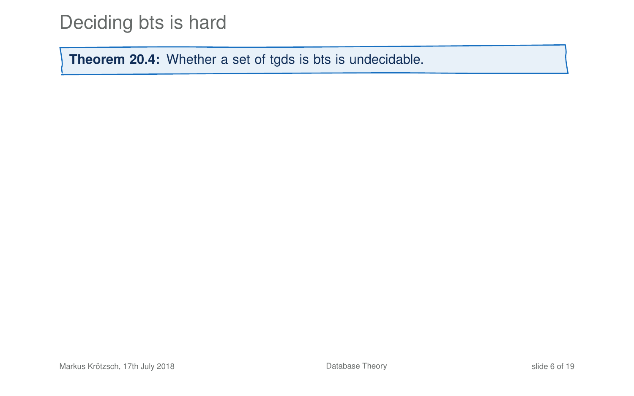# Deciding bts is hard

**Theorem 20.4:** Whether a set of tgds is bts is undecidable.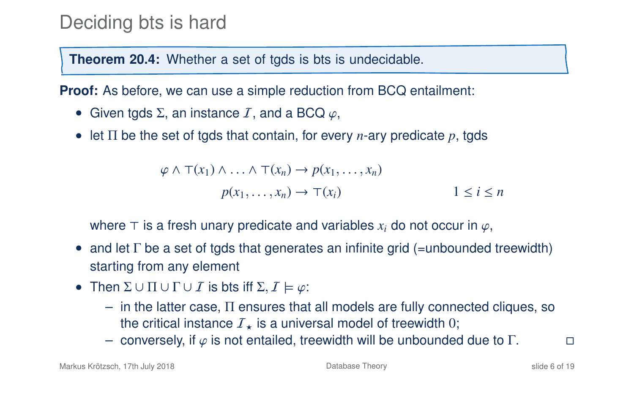# Deciding bts is hard

**Theorem 20.4:** Whether a set of tgds is bts is undecidable.

**Proof:** As before, we can use a simple reduction from BCQ entailment:

- Given tgds  $\Sigma$ , an instance  $I$ , and a BCQ  $\varphi$ ,
- let Π be the set of tgds that contain, for every *n*-ary predicate *p*, tgds

 $\varphi \wedge \top(x_1) \wedge \ldots \wedge \top(x_n) \rightarrow p(x_1, \ldots, x_n)$  $p(x_1, \ldots, x_n) \to \top(x_i)$  1  $\leq i \leq n$ 

where  $\top$  is a fresh unary predicate and variables  $x_i$  do not occur in  $\varphi$ ,

- and let  $\Gamma$  be a set of tgds that generates an infinite grid (=unbounded treewidth) starting from any element
- Then  $\Sigma \cup \Pi \cup \Gamma \cup \overline{I}$  is bts iff  $\Sigma, \overline{I} \models \varphi$ :
	- in the latter case, Π ensures that all models are fully connected cliques, so the critical instance  $I_{\star}$  is a universal model of treewidth 0;
	- conversely, if  $\varphi$  is not entailed, treewidth will be unbounded due to  $\Gamma$ .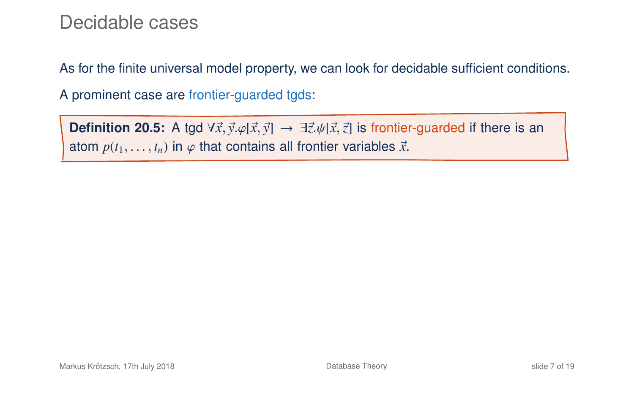### Decidable cases

As for the finite universal model property, we can look for decidable sufficient conditions.

A prominent case are frontier-guarded tgds:

**Definition 20.5:** A tgd  $\forall \vec{x}, \vec{y} \cdot \varphi[\vec{x}, \vec{y}] \rightarrow \exists \vec{z}. \psi[\vec{x}, \vec{z}]$  is frontier-guarded if there is an atom  $p(t_1, \ldots, t_n)$  in  $\varphi$  that contains all frontier variables  $\vec{x}$ .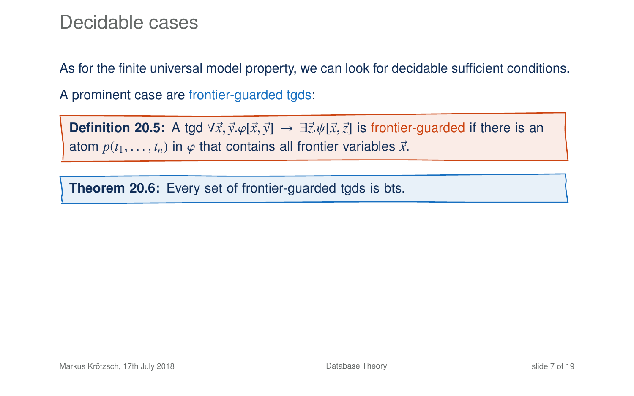### Decidable cases

As for the finite universal model property, we can look for decidable sufficient conditions.

A prominent case are frontier-guarded tgds:

**Definition 20.5:** A tgd  $\forall \vec{x}, \vec{y} \in [\vec{x}, \vec{y}] \rightarrow \exists \vec{z}. \psi[\vec{x}, \vec{z}]$  is frontier-guarded if there is an atom  $p(t_1, \ldots, t_n)$  in  $\varphi$  that contains all frontier variables  $\vec{x}$ .

**Theorem 20.6:** Every set of frontier-guarded tgds is bts.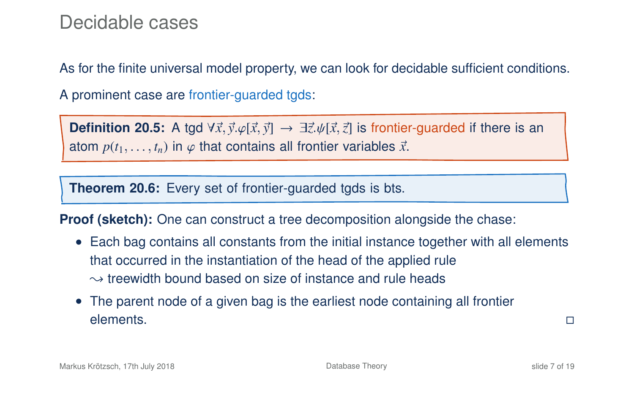### Decidable cases

As for the finite universal model property, we can look for decidable sufficient conditions.

A prominent case are frontier-guarded tgds:

**Definition 20.5:** A tgd  $\forall \vec{x}, \vec{y}$ . $\varphi[\vec{x}, \vec{y}] \rightarrow \exists \vec{z}$ . $\psi[\vec{x}, \vec{z}]$  is frontier-guarded if there is an atom  $p(t_1, \ldots, t_n)$  in  $\varphi$  that contains all frontier variables  $\vec{x}$ .

**Theorem 20.6:** Every set of frontier-guarded tgds is bts.

**Proof (sketch):** One can construct a tree decomposition alongside the chase:

- Each bag contains all constants from the initial instance together with all elements that occurred in the instantiation of the head of the applied rule  $\rightarrow$  treewidth bound based on size of instance and rule heads
- The parent node of a given bag is the earliest node containing all frontier elements.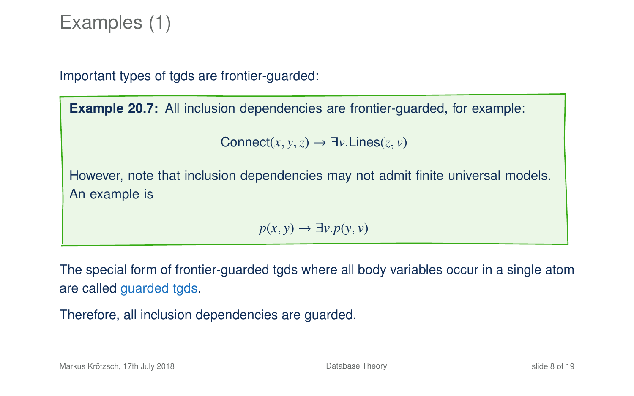# Examples (1)

Important types of tgds are frontier-guarded:

**Example 20.7:** All inclusion dependencies are frontier-guarded, for example:

```
Connect(x, y, z) \rightarrow \exists y. Lines(z, y)
```
However, note that inclusion dependencies may not admit finite universal models. An example is

 $p(x, y) \rightarrow \exists y \cdot p(y, y)$ 

The special form of frontier-guarded tgds where all body variables occur in a single atom are called guarded tgds.

Therefore, all inclusion dependencies are guarded.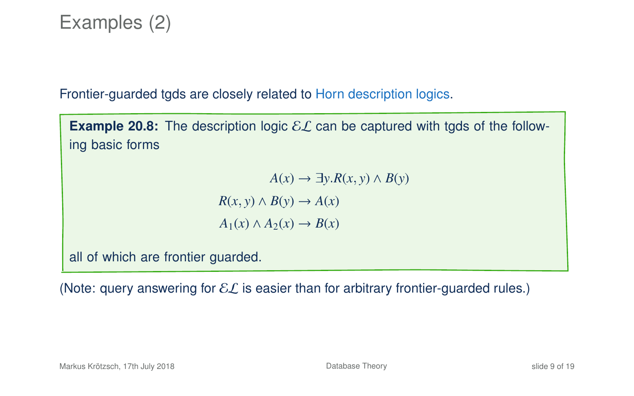# Examples (2)

Frontier-guarded tgds are closely related to Horn description logics.

**Example 20.8:** The description logic  $\mathcal{EL}$  can be captured with tgds of the following basic forms

> *A*(*x*) → ∃*y*.*R*(*x*, *y*) ∧ *B*(*y*)  $R(x, y) \wedge B(y) \rightarrow A(x)$  $A_1(x) \land A_2(x) \rightarrow B(x)$

all of which are frontier guarded.

(Note: query answering for  $\mathcal{EL}$  is easier than for arbitrary frontier-quarded rules.)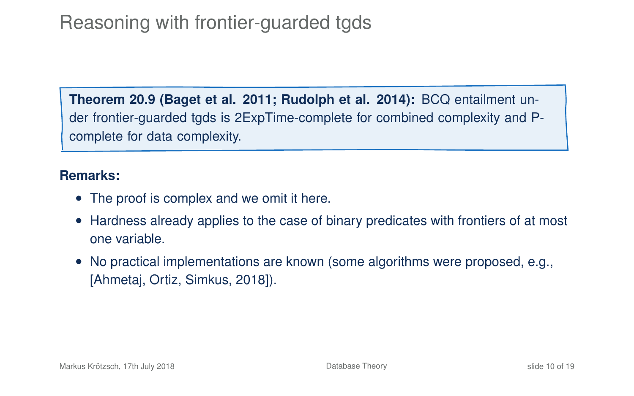# Reasoning with frontier-guarded tgds

**Theorem 20.9 (Baget et al. 2011; Rudolph et al. 2014):** BCQ entailment under frontier-guarded tgds is 2ExpTime-complete for combined complexity and Pcomplete for data complexity.

#### **Remarks:**

- The proof is complex and we omit it here.
- Hardness already applies to the case of binary predicates with frontiers of at most one variable.
- No practical implementations are known (some algorithms were proposed, e.g., [Ahmetaj, Ortiz, Simkus, 2018]).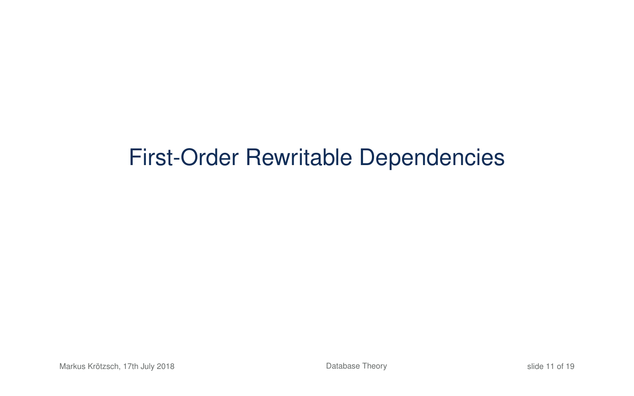# First-Order Rewritable Dependencies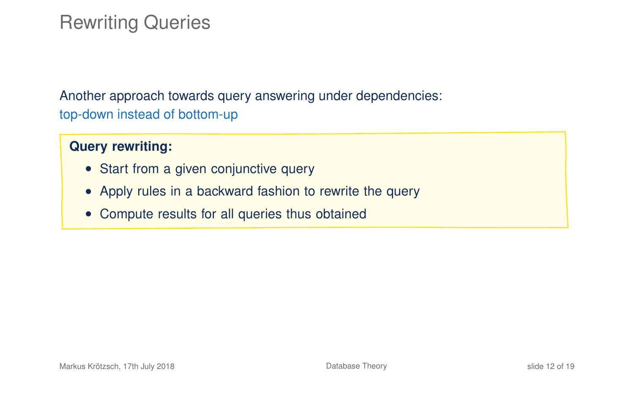# Rewriting Queries

Another approach towards query answering under dependencies: top-down instead of bottom-up

#### **Query rewriting:**

- Start from a given conjunctive query
- Apply rules in a backward fashion to rewrite the query
- Compute results for all queries thus obtained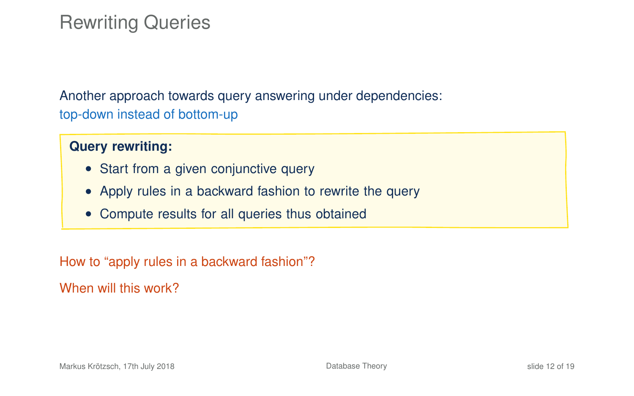# Rewriting Queries

Another approach towards query answering under dependencies: top-down instead of bottom-up

#### **Query rewriting:**

- Start from a given conjunctive query
- Apply rules in a backward fashion to rewrite the query
- Compute results for all queries thus obtained

How to "apply rules in a backward fashion"?

When will this work?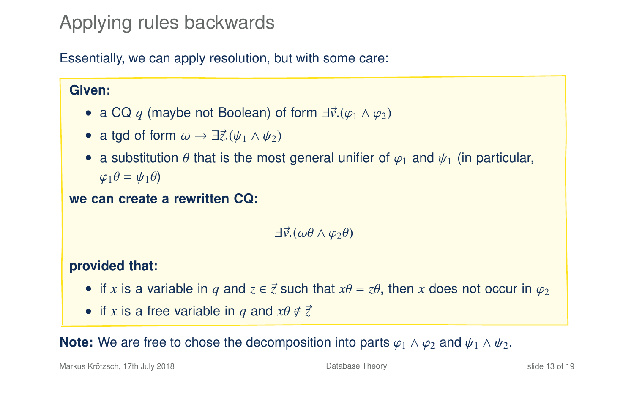# Applying rules backwards

Essentially, we can apply resolution, but with some care:

#### **Given:**

- a CQ q (maybe not Boolean) of form  $\exists \vec{v}.(\varphi_1 \wedge \varphi_2)$
- a tgd of form  $\omega \rightarrow \exists \vec{z}.(\psi_1 \wedge \psi_2)$
- a substitution  $\theta$  that is the most general unifier of  $\varphi_1$  and  $\psi_1$  (in particular,  $\varphi_1 \theta = \psi_1 \theta$

#### **we can create a rewritten CQ:**

 $\exists \vec{v}.(\omega\theta \wedge \omega_2\theta)$ 

#### **provided that:**

- if x is a variable in q and  $z \in \vec{z}$  such that  $x\theta = z\theta$ , then x does not occur in  $\varphi_2$
- if *x* is a free variable in *q* and  $x\theta \notin \vec{z}$

**Note:** We are free to chose the decomposition into parts  $\varphi_1 \wedge \varphi_2$  and  $\psi_1 \wedge \psi_2$ .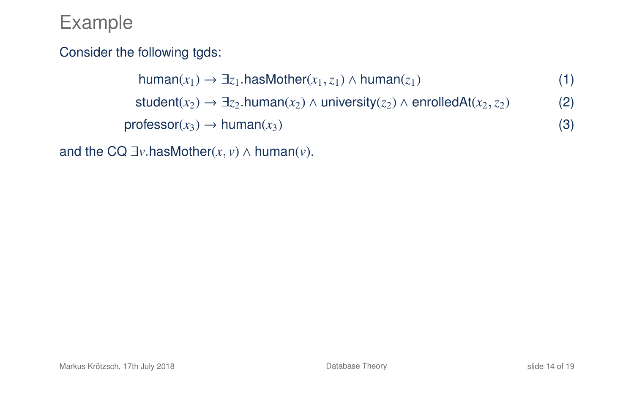### Consider the following tgds:

human( $x$ <sub>1</sub>) →  $\exists z$ <sub>1</sub>.hasMother( $x$ <sub>1</sub>,  $z$ <sub>1</sub>) ∧ human( $z$ <sub>1</sub>) (1) student( $x_2$ ) →  $\exists z_2$ .human( $x_2$ ) ∧ university( $z_2$ ) ∧ enrolledAt( $x_2$ ,  $z_2$ ) (2)  $\text{professor}(x_3) \rightarrow \text{human}(x_3)$  (3)

and the CQ  $\exists v$  hasMother(*x*, *v*)  $\land$  human(*v*).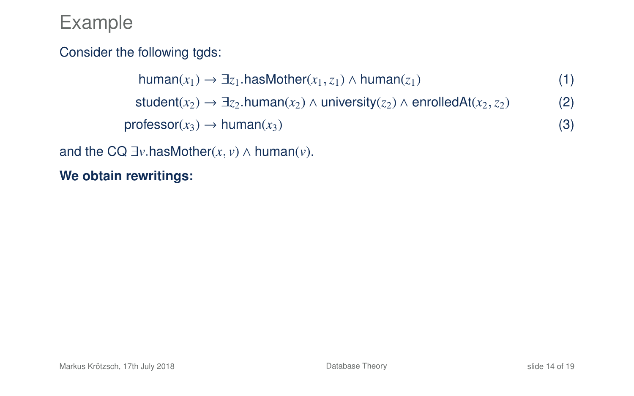### Consider the following tgds:

```
human(x_1) → \exists z_1.hasMother(x_1,z_1) ∧ human(z_1) (1)
  student(x_2) \rightarrow \exists z_2 \text{ human}(x_2) \land \text{university}(z_2) \land \text{enrolledAt}(x_2, z_2) (2)
\text{professor}(x_3) \rightarrow \text{human}(x_3) (3)
```
#### and the CQ  $\exists v$  has Mother(*x*, *v*)  $\land$  human(*v*).

#### **We obtain rewritings:**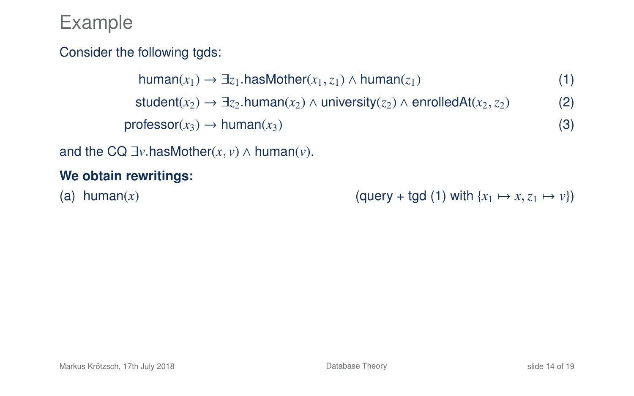### Consider the following tgds:

human( $x_1$ ) →  $\exists z_1$ .hasMother( $x_1$ , $z_1$ ) ∧ human( $z_1$ ) (1) student( $x_2$ ) →  $\exists z_2$ .human( $x_2$ ) ∧ university( $z_2$ ) ∧ enrolledAt( $x_2$ ,  $z_2$ ) (2)  $\text{professor}(x_3) \rightarrow \text{human}(x_3)$  (3)

and the CQ  $\exists v$  has Mother(*x*, *v*)  $\land$  human(*v*).

#### **We obtain rewritings:**

(a) human(*x*) (query + tgd (1) with  $\{x_1 \mapsto x, z_1 \mapsto v\}$ )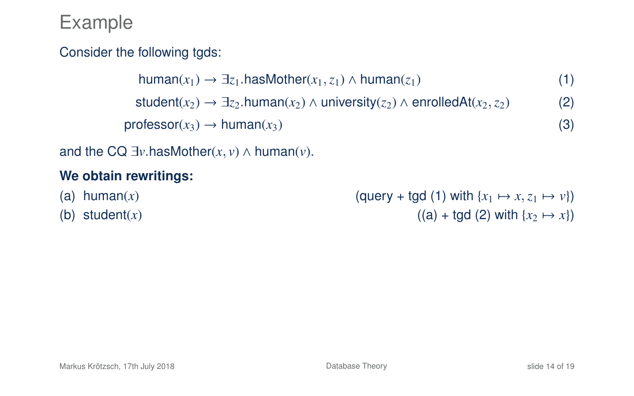### Consider the following tgds:

```
human(x_1) → \exists z_1.hasMother(x_1,z_1) ∧ human(z_1) (1)
  student(x_2) \rightarrow \exists z_2 \text{ human}(x_2) \land \text{university}(z_2) \land \text{enrolledAt}(x_2, z_2) (2)
\text{professor}(x_3) \rightarrow \text{human}(x_3) (3)
```
and the CQ  $\exists v$  has Mother(*x*, *v*)  $\land$  human(*v*).

#### **We obtain rewritings:**

- 
- 

(a) human(*x*) (a) tuman(*x*) (a)  $(\text{query} + \text{tgd} (1) \text{ with } \{x_1 \mapsto x, z_1 \mapsto v\})$ <br>(b) student(*x*) ((a) + tgd (2) with  $\{x_2 \mapsto x\}$ )  $((a) + \text{tqd} (2) \text{ with } \{x_2 \mapsto x\})$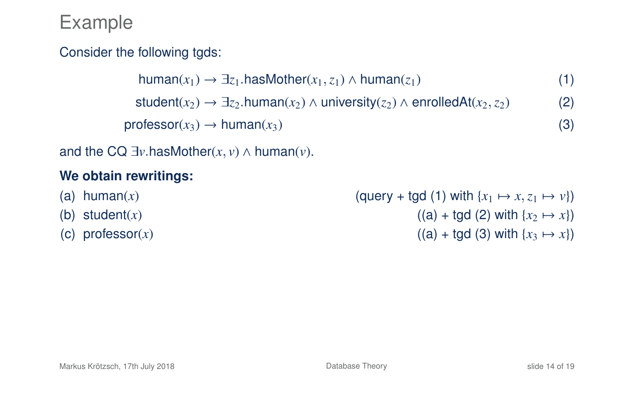### Consider the following tgds:

```
human(x_1) → \exists z_1.hasMother(x_1, z_1) ∧ human(z_1) (1)
  student(x_2) \rightarrow \exists z_2 \text{ human}(x_2) \land \text{university}(z_2) \land \text{enrolledAt}(x_2, z_2) (2)
\text{professor}(x_3) \rightarrow \text{human}(x_3) (3)
```
and the CQ  $\exists v$  hasMother(*x*, *v*)  $\land$  human(*v*).

#### **We obtain rewritings:**

(a) human(*x*) (a) human(*x*) (a)  $(\text{query} + \text{tgd} (1) \text{ with } \{x_1 \mapsto x, z_1 \mapsto v\})$ <br>(b) student(*x*) (a) + tgd (2) with  $\{x_2 \mapsto x\}$  $((a) + \text{tgd} (2) \text{ with } \{x_2 \mapsto x\})$ (c) professor(*x*) ((a) + tgd (3) with { $x_3 \mapsto x$ })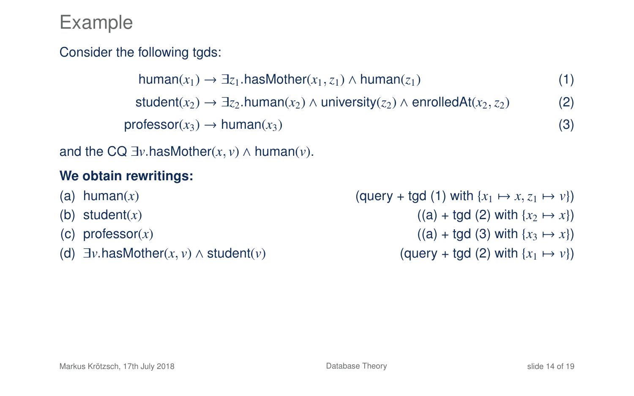### Consider the following tgds:

```
human(x<sub>1</sub>) → \exists z<sub>1</sub>.hasMother(x<sub>1</sub>, z<sub>1</sub>) ∧ human(z<sub>1</sub>) (1)
 student(x_2) → \exists z_2.human(x_2) ∧ university(z_2) ∧ enrolledAt(x_2, z_2) (2)
\text{professor}(x_3) \rightarrow \text{human}(x_3) (3)
```
and the CQ  $\exists v$  hasMother(*x*, *v*)  $\land$  human(*v*).

#### **We obtain rewritings:**

- 
- 
- 
- 

(a) human(*x*) (a) human(*x*) (a)  $(\text{query} + \text{tgd} (1) \text{ with } \{x_1 \mapsto x, z_1 \mapsto v\})$ <br>(b) student(*x*) (a) + tgd (2) with  $\{x_2 \mapsto x\}$  $((a) + \text{tqd} (2) \text{ with } \{x_2 \mapsto x\})$ (c) professor(*x*) ((a) + tgd (3) with { $x_3 \mapsto x$ }) (d)  $\exists v \cdot \text{hasMother}(x, v) \land \text{student}(v)$  (query + tgd (2) with  $\{x_1 \mapsto v\}$ )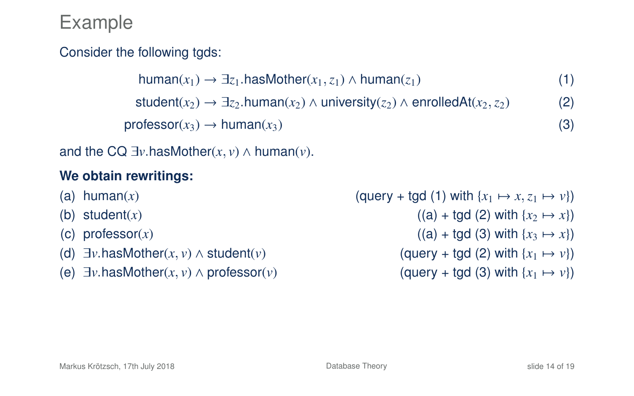### Consider the following tgds:

```
human(x<sub>1</sub>) → \exists z<sub>1</sub>.hasMother(x<sub>1</sub>, z<sub>1</sub>) ∧ human(z<sub>1</sub>) (1)
  student(x_2) \rightarrow \exists z_2 \text{ human}(x_2) \land university(z_2) \land envelledAt(x_2, z_2) (2)
professor(x_3) \rightarrow human(x_3) (3)
```
and the CQ  $\exists v$  hasMother(*x*, *v*)  $\land$  human(*v*).

#### **We obtain rewritings:**

- 
- 
- 
- 
- (e)  $\exists v \text{ hasMother}(x, v) \land \text{professor}(v)$

(a) human(*x*) (a) human(*x*) (a)  $(\text{query} + \text{tgd} (1) \text{ with } \{x_1 \mapsto x, z_1 \mapsto v\})$ <br>(b) student(*x*) (a) + tgd (2) with  $\{x_2 \mapsto x\}$  $((a) + \text{tqd} (2) \text{ with } \{x_2 \mapsto x\})$ (c) professor(*x*) ((a) + tgd (3) with { $x_3 \mapsto x$ }) (d)  $\exists v.\text{hasMother}(x, v) \land \text{student}(v)$  (query + tgd (2) with  $\{x_1 \mapsto v\}$ )<br>(e)  $\exists v.\text{hasMother}(x, v) \land \text{professor}(v)$  (auerv + tad (3) with  $\{x_1 \mapsto v\}$ )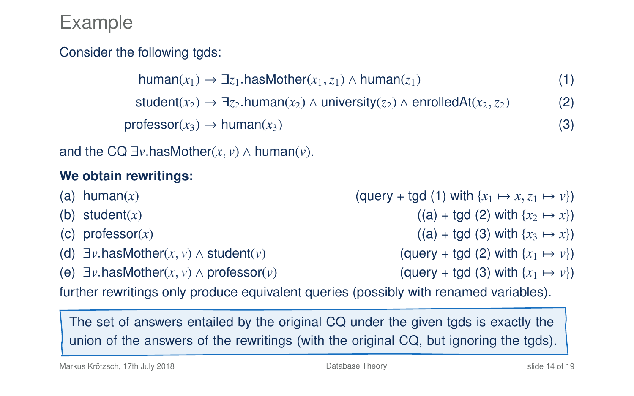### Consider the following tgds:

 $human(x<sub>1</sub>)$  →  $\exists z<sub>1</sub>$ .hasMother( $x<sub>1</sub>, z<sub>1</sub>$ ) ∧ human( $z<sub>1</sub>$ ) (1) student( $x_2$ ) →  $\exists z_2$ .human( $x_2$ ) ∧ university( $z_2$ ) ∧ enrolledAt( $x_2, z_2$ ) (2)  $professor(x_3) \rightarrow human(x_3)$  (3)

and the CQ  $\exists v$  hasMother(*x*, *v*)  $\land$  human(*v*).

### **We obtain rewritings:**

- (a) human(*x*) (a) human(*x*) (a)  $(\text{query} + \text{tgd} (1) \text{ with } \{x_1 \mapsto x, z_1 \mapsto v\})$ <br>(b) student(*x*) (a) + tgd (2) with  $\{x_2 \mapsto x\}$  $((a) + \text{tqd} (2) \text{ with } \{x_2 \mapsto x\})$ (c) professor(*x*) ((a) + tgd (3) with { $x_3 \mapsto x$ })
- 
- (e)  $\exists v \text{ hasMother}(x, v) \land \text{professor}(v)$

(d)  $\exists v.\text{hasMother}(x, v) \land \text{student}(v)$  (query + tgd (2) with  $\{x_1 \mapsto v\}$ )<br>(e)  $\exists v.\text{hasMother}(x, v) \land \text{professor}(v)$  (query + tgd (3) with  $\{x_1 \mapsto v\}$ )

further rewritings only produce equivalent queries (possibly with renamed variables).

The set of answers entailed by the original CQ under the given tgds is exactly the union of the answers of the rewritings (with the original CQ, but ignoring the tgds).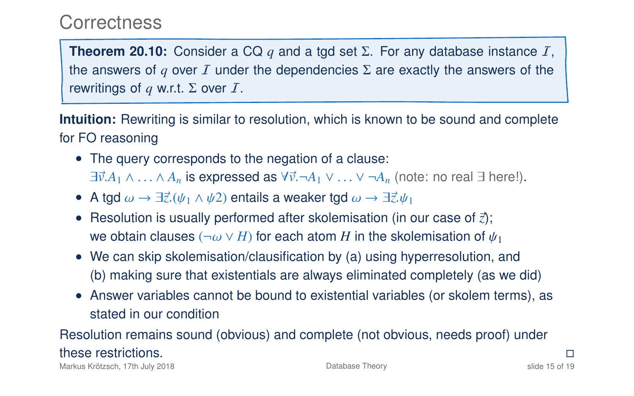### **Correctness**

**Theorem 20.10:** Consider a CQ  $q$  and a tgd set  $\Sigma$ . For any database instance  $I$ , the answers of *q* over I under the dependencies  $\Sigma$  are exactly the answers of the rewritings of *q* w.r.t. Σ over  $I$ .

**Intuition:** Rewriting is similar to resolution, which is known to be sound and complete for FO reasoning

- The query corresponds to the negation of a clause:  $\exists \vec{v}.A_1 \wedge \ldots \wedge A_n$  is expressed as  $\forall \vec{v}. \neg A_1 \vee \ldots \vee \neg A_n$  (note: no real  $\exists$  here!).
- A tgd  $\omega \to \exists \vec{z}.(\psi_1 \wedge \psi_2)$  entails a weaker tgd  $\omega \to \exists \vec{z}. \psi_1$
- Resolution is usually performed after skolemisation (in our case of  $\vec{z}$ ); we obtain clauses ( $\neg \omega \vee H$ ) for each atom *H* in the skolemisation of  $\psi_1$
- We can skip skolemisation/clausification by (a) using hyperresolution, and (b) making sure that existentials are always eliminated completely (as we did)
- Answer variables cannot be bound to existential variables (or skolem terms), as stated in our condition

### Resolution remains sound (obvious) and complete (not obvious, needs proof) under these restrictions.

Markus Krötzsch, 17th July 2018 [Database Theory](#page-0-0) slide 15 of 19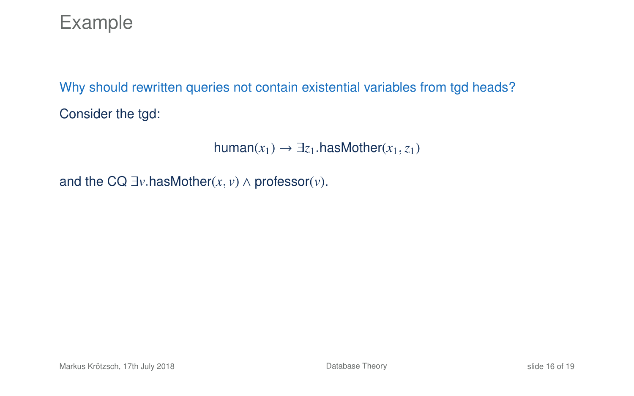Why should rewritten queries not contain existential variables from tgd heads? Consider the tgd:

 $human(x_1) \rightarrow \exists z_1 \text{ hasMother}(x_1, z_1)$ 

and the CQ  $\exists v$  hasMother( $x$ ,  $v$ )  $\land$  professor( $v$ ).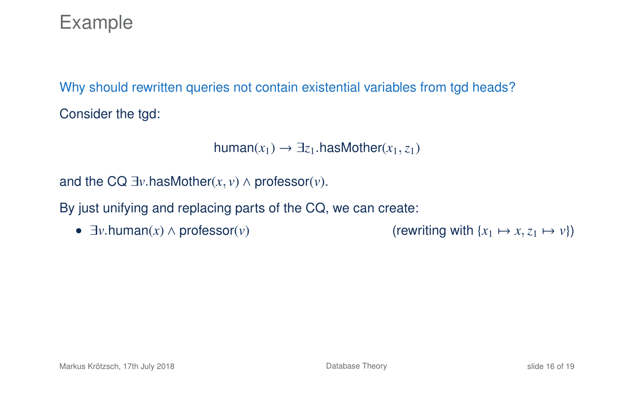Why should rewritten queries not contain existential variables from tgd heads? Consider the tgd:

```
human(x_1) \rightarrow \exists z_1 \text{ hasMother}(x_1, z_1)
```
and the CQ  $\exists v$  has Mother(*x*, *v*)  $\land$  professor(*v*).

By just unifying and replacing parts of the CQ, we can create:

•  $\exists v \cdot \text{human}(x) \land \text{professor}(v)$  (rewriting with  $\{x_1 \mapsto x, z_1 \mapsto v\}$ )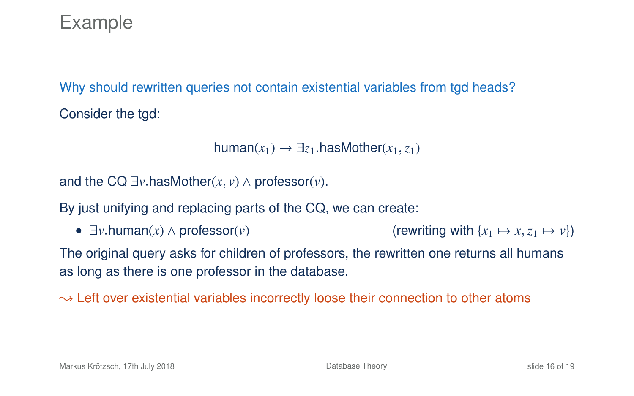Why should rewritten queries not contain existential variables from tgd heads? Consider the tgd:

```
human(x_1) \rightarrow \exists z_1 \text{ hasMother}(x_1, z_1)
```
and the CQ  $\exists v$  hasMother(x,  $v$ )  $\wedge$  professor( $v$ ).

By just unifying and replacing parts of the CQ, we can create:

•  $\exists v \cdot \text{human}(x) \land \text{professor}(v)$  (rewriting with  $\{x_1 \mapsto x, z_1 \mapsto v\}$ )

The original query asks for children of professors, the rewritten one returns all humans as long as there is one professor in the database.

 $\rightarrow$  Left over existential variables incorrectly loose their connection to other atoms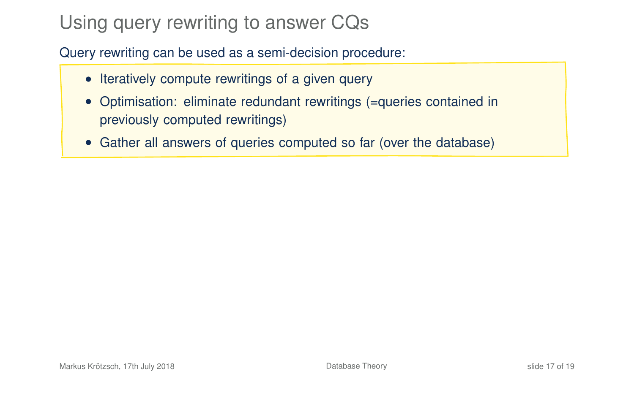# Using query rewriting to answer CQs

Query rewriting can be used as a semi-decision procedure:

- Iteratively compute rewritings of a given query
- Optimisation: eliminate redundant rewritings (=queries contained in previously computed rewritings)
- Gather all answers of queries computed so far (over the database)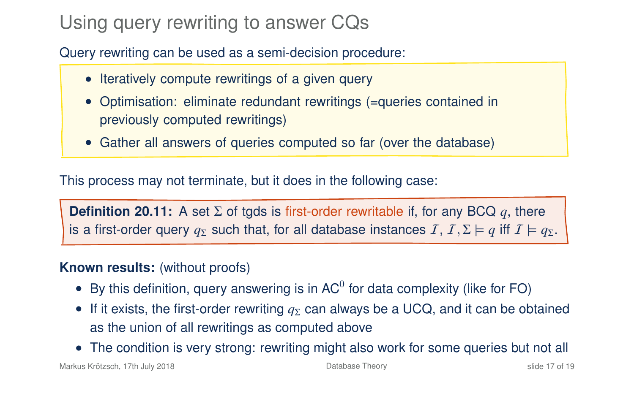# Using query rewriting to answer CQs

Query rewriting can be used as a semi-decision procedure:

- Iteratively compute rewritings of a given query
- Optimisation: eliminate redundant rewritings (=queries contained in previously computed rewritings)
- Gather all answers of queries computed so far (over the database)

This process may not terminate, but it does in the following case:

**Definition 20.11:** A set Σ of tgds is first-order rewritable if, for any BCQ *q*, there is a first-order query  $q_{\Sigma}$  such that, for all database instances  $I, I, \Sigma \models q$  iff  $I \models q_{\Sigma}$ .

#### **Known results:** (without proofs)

- By this definition, query answering is in AC $^0$  for data complexity (like for FO)
- If it exists, the first-order rewriting  $q_{\Sigma}$  can always be a UCQ, and it can be obtained as the union of all rewritings as computed above
- The condition is very strong: rewriting might also work for some queries but not all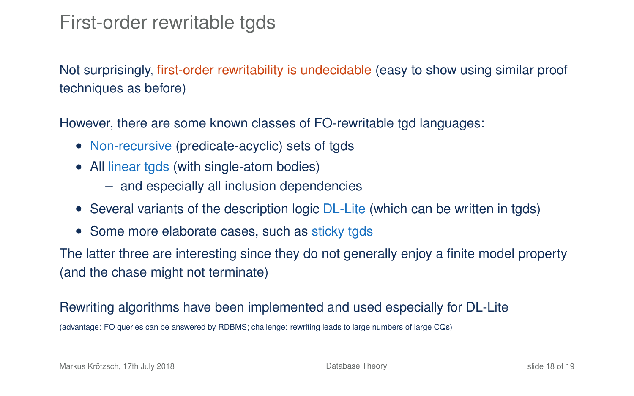## First-order rewritable tgds

Not surprisingly, first-order rewritability is undecidable (easy to show using similar proof techniques as before)

However, there are some known classes of FO-rewritable tgd languages:

- Non-recursive (predicate-acyclic) sets of tgds
- All linear tgds (with single-atom bodies)
	- and especially all inclusion dependencies
- Several variants of the description logic DL-Lite (which can be written in tgds)
- Some more elaborate cases, such as sticky tgds

The latter three are interesting since they do not generally enjoy a finite model property (and the chase might not terminate)

#### Rewriting algorithms have been implemented and used especially for DL-Lite

(advantage: FO queries can be answered by RDBMS; challenge: rewriting leads to large numbers of large CQs)